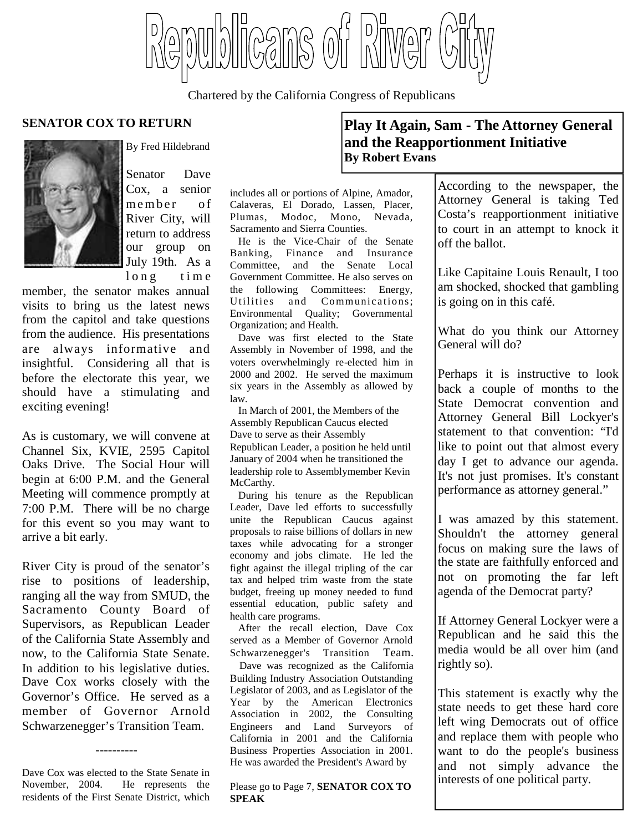licans of Niver

Chartered by the California Congress of Republicans



By Fred Hildebrand

Senator Dave Cox, a senior member of River City, will return to address our group on July 19th. As a  $\ln g$  time

member, the senator makes annual visits to bring us the latest news from the capitol and take questions from the audience. His presentations are always informative and insightful. Considering all that is before the electorate this year, we should have a stimulating and exciting evening!

As is customary, we will convene at Channel Six, KVIE, 2595 Capitol Oaks Drive. The Social Hour will begin at 6:00 P.M. and the General Meeting will commence promptly at 7:00 P.M. There will be no charge for this event so you may want to arrive a bit early.

River City is proud of the senator's rise to positions of leadership, ranging all the way from SMUD, the Sacramento County Board of Supervisors, as Republican Leader of the California State Assembly and now, to the California State Senate. In addition to his legislative duties. Dave Cox works closely with the Governor's Office. He served as a member of Governor Arnold Schwarzenegger's Transition Team.

Dave Cox was elected to the State Senate in November, 2004. He represents the residents of the First Senate District, which

----------

#### includes all or portions of Alpine, Amador, Calaveras, El Dorado, Lassen, Placer, Plumas, Modoc, Mono, Nevada, Sacramento and Sierra Counties.

He is the Vice-Chair of the Senate Banking, Finance and Insurance Committee, and the Senate Local Government Committee. He also serves on the following Committees: Energy, Utilities and Communications; Environmental Quality; Governmental Organization; and Health.

Dave was first elected to the State Assembly in November of 1998, and the voters overwhelmingly re-elected him in 2000 and 2002. He served the maximum six years in the Assembly as allowed by law.

In March of 2001, the Members of the Assembly Republican Caucus elected Dave to serve as their Assembly Republican Leader, a position he held until January of 2004 when he transitioned the leadership role to Assemblymember Kevin McCarthy.

During his tenure as the Republican Leader, Dave led efforts to successfully unite the Republican Caucus against proposals to raise billions of dollars in new taxes while advocating for a stronger economy and jobs climate. He led the fight against the illegal tripling of the car tax and helped trim waste from the state budget, freeing up money needed to fund essential education, public safety and health care programs.

After the recall election, Dave Cox served as a Member of Governor Arnold Schwarzenegger's Transition Team.

Dave was recognized as the California Building Industry Association Outstanding Legislator of 2003, and as Legislator of the Year by the American Electronics Association in 2002, the Consulting Engineers and Land Surveyors of California in 2001 and the California Business Properties Association in 2001. He was awarded the President's Award by

Please go to Page 7, **SENATOR COX TO SPEAK**

# **SENATOR COX TO RETURN Play It Again, Sam - The Attorney General and the Reapportionment Initiative By Robert Evans**

According to the newspaper, the Attorney General is taking Ted Costa's reapportionment initiative to court in an attempt to knock it off the ballot.

Like Capitaine Louis Renault, I too am shocked, shocked that gambling is going on in this café.

What do you think our Attorney General will do?

Perhaps it is instructive to look back a couple of months to the State Democrat convention and Attorney General Bill Lockyer's statement to that convention: "I'd like to point out that almost every day I get to advance our agenda. It's not just promises. It's constant performance as attorney general."

I was amazed by this statement. Shouldn't the attorney general focus on making sure the laws of the state are faithfully enforced and not on promoting the far left agenda of the Democrat party?

If Attorney General Lockyer were a Republican and he said this the media would be all over him (and rightly so).

This statement is exactly why the state needs to get these hard core left wing Democrats out of office and replace them with people who want to do the people's business and not simply advance the interests of one political party.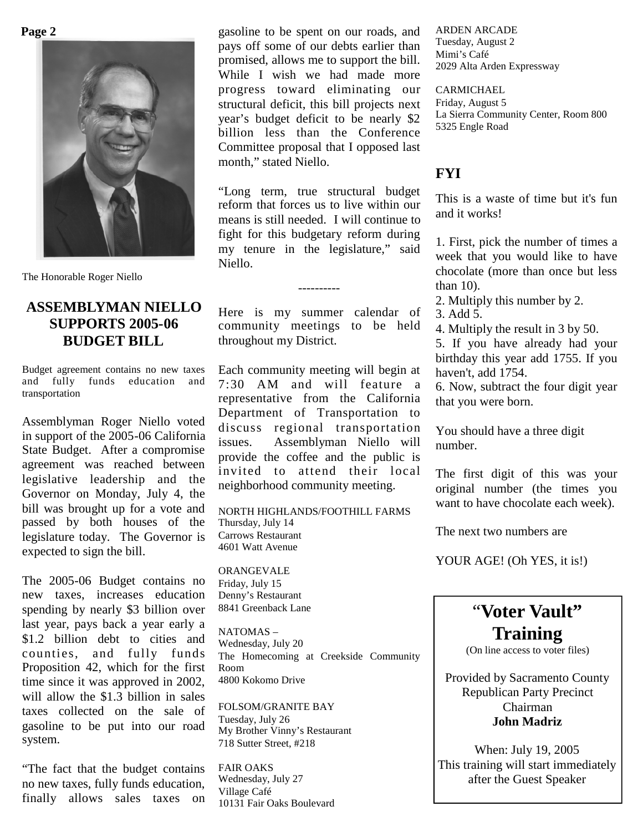**Page 2**



The Honorable Roger Niello

# **ASSEMBLYMAN NIELLO SUPPORTS 2005-06 BUDGET BILL**

Budget agreement contains no new taxes and fully funds education and transportation

Assemblyman Roger Niello voted in support of the 2005-06 California State Budget. After a compromise agreement was reached between legislative leadership and the Governor on Monday, July 4, the bill was brought up for a vote and passed by both houses of the legislature today. The Governor is expected to sign the bill.

The 2005-06 Budget contains no new taxes, increases education spending by nearly \$3 billion over last year, pays back a year early a \$1.2 billion debt to cities and counties, and fully funds Proposition 42, which for the first time since it was approved in 2002, will allow the \$1.3 billion in sales taxes collected on the sale of gasoline to be put into our road system.

"The fact that the budget contains no new taxes, fully funds education, finally allows sales taxes on

gasoline to be spent on our roads, and pays off some of our debts earlier than promised, allows me to support the bill. While I wish we had made more progress toward eliminating our structural deficit, this bill projects next year's budget deficit to be nearly \$2 billion less than the Conference Committee proposal that I opposed last month," stated Niello.

"Long term, true structural budget reform that forces us to live within our means is still needed. I will continue to fight for this budgetary reform during my tenure in the legislature," said Niello.

Here is my summer calendar of community meetings to be held throughout my District.

----------

Each community meeting will begin at 7:30 AM and will feature a representative from the California Department of Transportation to discuss regional transportation issues. Assemblyman Niello will provide the coffee and the public is invited to attend their local neighborhood community meeting.

NORTH HIGHLANDS/FOOTHILL FARMS Thursday, July 14 Carrows Restaurant 4601 Watt Avenue

ORANGEVALE Friday, July 15 Denny's Restaurant 8841 Greenback Lane

NATOMAS – Wednesday, July 20 The Homecoming at Creekside Community Room 4800 Kokomo Drive

FOLSOM/GRANITE BAY Tuesday, July 26 My Brother Vinny's Restaurant 718 Sutter Street, #218

FAIR OAKS Wednesday, July 27 Village Café 10131 Fair Oaks Boulevard ARDEN ARCADE Tuesday, August 2 Mimi's Café 2029 Alta Arden Expressway

CARMICHAEL Friday, August 5 La Sierra Community Center, Room 800 5325 Engle Road

#### **FYI**

This is a waste of time but it's fun and it works!

1. First, pick the number of times a week that you would like to have chocolate (more than once but less than 10).

2. Multiply this number by 2.

3. Add 5.

4. Multiply the result in 3 by 50.

5. If you have already had your birthday this year add 1755. If you haven't, add 1754.

6. Now, subtract the four digit year that you were born.

You should have a three digit number.

The first digit of this was your original number (the times you want to have chocolate each week).

The next two numbers are

YOUR AGE! (Oh YES, it is!)



Provided by Sacramento County Republican Party Precinct Chairman **John Madriz**

When: July 19, 2005 This training will start immediately after the Guest Speaker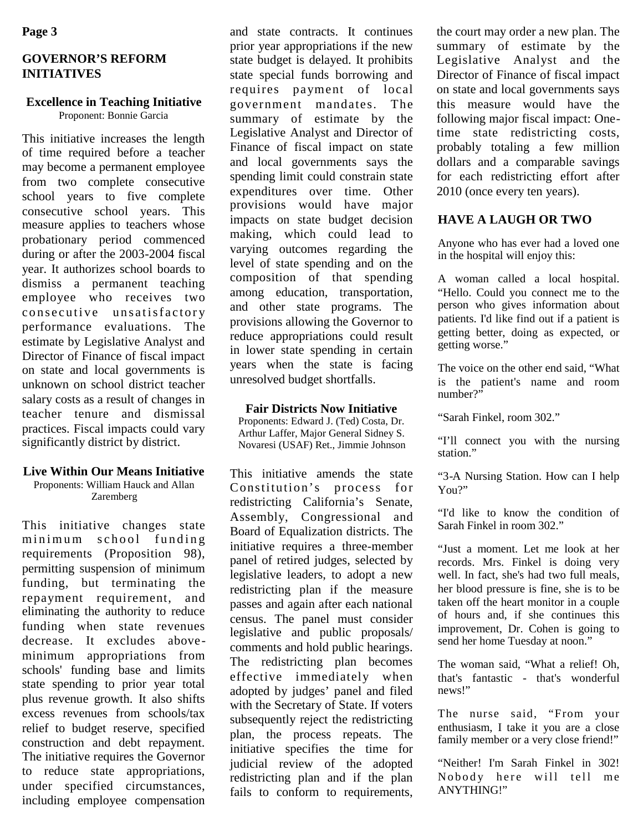## **GOVERNOR'S REFORM INITIATIVES**

# **Excellence in Teaching Initiative**

Proponent: Bonnie Garcia

This initiative increases the length of time required before a teacher may become a permanent employee from two complete consecutive school years to five complete consecutive school years. This measure applies to teachers whose probationary period commenced during or after the 2003-2004 fiscal year. It authorizes school boards to dismiss a permanent teaching employee who receives two consecutive unsatisfactory performance evaluations. The estimate by Legislative Analyst and Director of Finance of fiscal impact on state and local governments is unknown on school district teacher salary costs as a result of changes in teacher tenure and dismissal practices. Fiscal impacts could vary significantly district by district.

#### **Live Within Our Means Initiative**

Proponents: William Hauck and Allan Zaremberg

This initiative changes state minimum school funding requirements (Proposition 98), permitting suspension of minimum funding, but terminating the repayment requirement, and eliminating the authority to reduce funding when state revenues decrease. It excludes aboveminimum appropriations from schools' funding base and limits state spending to prior year total plus revenue growth. It also shifts excess revenues from schools/tax relief to budget reserve, specified construction and debt repayment. The initiative requires the Governor to reduce state appropriations, under specified circumstances, including employee compensation

and state contracts. It continues prior year appropriations if the new state budget is delayed. It prohibits state special funds borrowing and requires payment of local government mandates. The summary of estimate by the Legislative Analyst and Director of Finance of fiscal impact on state and local governments says the spending limit could constrain state expenditures over time. Other provisions would have major impacts on state budget decision making, which could lead to varying outcomes regarding the level of state spending and on the composition of that spending among education, transportation, and other state programs. The provisions allowing the Governor to reduce appropriations could result in lower state spending in certain years when the state is facing unresolved budget shortfalls.

#### **Fair Districts Now Initiative**

Proponents: Edward J. (Ted) Costa, Dr. Arthur Laffer, Major General Sidney S. Novaresi (USAF) Ret., Jimmie Johnson

This initiative amends the state Constitution's process for redistricting California's Senate, Assembly, Congressional and Board of Equalization districts. The initiative requires a three-member panel of retired judges, selected by legislative leaders, to adopt a new redistricting plan if the measure passes and again after each national census. The panel must consider legislative and public proposals/ comments and hold public hearings. The redistricting plan becomes effective immediately when adopted by judges' panel and filed with the Secretary of State. If voters subsequently reject the redistricting plan, the process repeats. The initiative specifies the time for judicial review of the adopted redistricting plan and if the plan fails to conform to requirements,

the court may order a new plan. The summary of estimate by the Legislative Analyst and the Director of Finance of fiscal impact on state and local governments says this measure would have the following major fiscal impact: Onetime state redistricting costs, probably totaling a few million dollars and a comparable savings for each redistricting effort after 2010 (once every ten years).

# **HAVE A LAUGH OR TWO**

Anyone who has ever had a loved one in the hospital will enjoy this:

A woman called a local hospital. "Hello. Could you connect me to the person who gives information about patients. I'd like find out if a patient is getting better, doing as expected, or getting worse."

The voice on the other end said, "What is the patient's name and room number?"

"Sarah Finkel, room 302."

"I'll connect you with the nursing station."

"3-A Nursing Station. How can I help You?"

"I'd like to know the condition of Sarah Finkel in room 302."

"Just a moment. Let me look at her records. Mrs. Finkel is doing very well. In fact, she's had two full meals, her blood pressure is fine, she is to be taken off the heart monitor in a couple of hours and, if she continues this improvement, Dr. Cohen is going to send her home Tuesday at noon."

The woman said, "What a relief! Oh, that's fantastic - that's wonderful news!"

The nurse said, "From your enthusiasm, I take it you are a close family member or a very close friend!"

"Neither! I'm Sarah Finkel in 302! Nobody here will tell me ANYTHING!"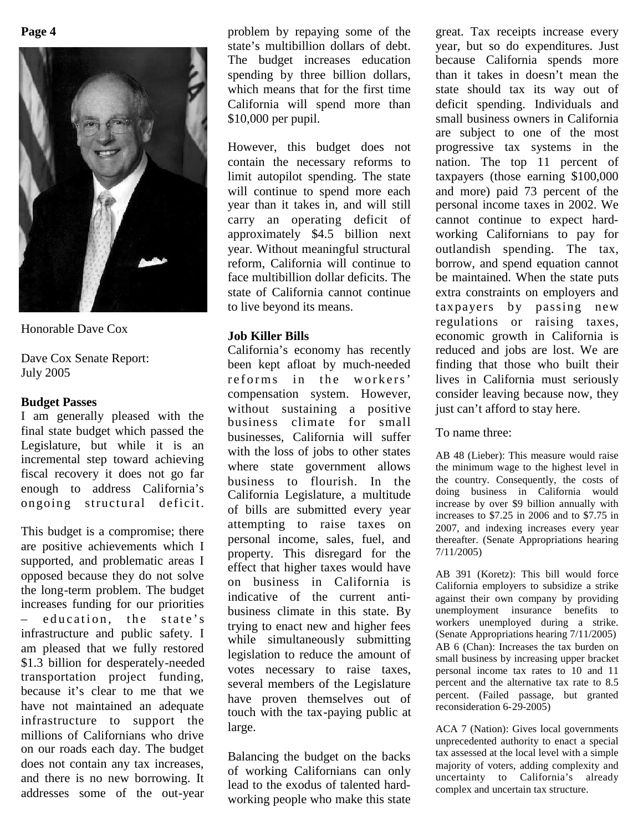

Honorable Dave Cox

Dave Cox Senate Report: July 2005

#### **Budget Passes**

I am generally pleased with the final state budget which passed the Legislature, but while it is an incremental step toward achieving fiscal recovery it does not go far enough to address California's ongoing structural deficit.

This budget is a compromise; there are positive achievements which I supported, and problematic areas I opposed because they do not solve the long-term problem. The budget increases funding for our priorities  $-$  education, the state's infrastructure and public safety. I am pleased that we fully restored \$1.3 billion for desperately-needed transportation project funding, because it's clear to me that we have not maintained an adequate infrastructure to support the millions of Californians who drive on our roads each day. The budget does not contain any tax increases, and there is no new borrowing. It addresses some of the out-year

problem by repaying some of the state's multibillion dollars of debt. The budget increases education spending by three billion dollars, which means that for the first time California will spend more than \$10,000 per pupil.

However, this budget does not contain the necessary reforms to limit autopilot spending. The state will continue to spend more each year than it takes in, and will still carry an operating deficit of approximately \$4.5 billion next year. Without meaningful structural reform, California will continue to face multibillion dollar deficits. The state of California cannot continue to live beyond its means.

### **Job Killer Bills**

California's economy has recently been kept afloat by much-needed reforms in the workers' compensation system. However, without sustaining a positive business climate for small businesses, California will suffer with the loss of jobs to other states where state government allows business to flourish. In the California Legislature, a multitude of bills are submitted every year attempting to raise taxes on personal income, sales, fuel, and property. This disregard for the effect that higher taxes would have on business in California is indicative of the current antibusiness climate in this state. By trying to enact new and higher fees while simultaneously submitting legislation to reduce the amount of votes necessary to raise taxes, several members of the Legislature have proven themselves out of touch with the tax-paying public at large.

Balancing the budget on the backs of working Californians can only lead to the exodus of talented hardworking people who make this state

great. Tax receipts increase every year, but so do expenditures. Just because California spends more than it takes in doesn't mean the state should tax its way out of deficit spending. Individuals and small business owners in California are subject to one of the most progressive tax systems in the nation. The top 11 percent of taxpayers (those earning \$100,000 and more) paid 73 percent of the personal income taxes in 2002. We cannot continue to expect hardworking Californians to pay for outlandish spending. The tax, borrow, and spend equation cannot be maintained. When the state puts extra constraints on employers and taxpayers by passing new regulations or raising taxes, economic growth in California is reduced and jobs are lost. We are finding that those who built their lives in California must seriously consider leaving because now, they just can't afford to stay here.

To name three:

AB 48 (Lieber): This measure would raise the minimum wage to the highest level in the country. Consequently, the costs of doing business in California would increase by over \$9 billion annually with increases to \$7.25 in 2006 and to \$7.75 in 2007, and indexing increases every year thereafter. (Senate Appropriations hearing 7/11/2005)

AB 391 (Koretz): This bill would force California employers to subsidize a strike against their own company by providing unemployment insurance benefits to workers unemployed during a strike. (Senate Appropriations hearing 7/11/2005) AB 6 (Chan): Increases the tax burden on small business by increasing upper bracket personal income tax rates to 10 and 11 percent and the alternative tax rate to 8.5 percent. (Failed passage, but granted reconsideration  $6-29-2005$ )

ACA 7 (Nation): Gives local governments unprecedented authority to enact a special tax assessed at the local level with a simple majority of voters, adding complexity and uncertainty to California's already complex and uncertain tax structure.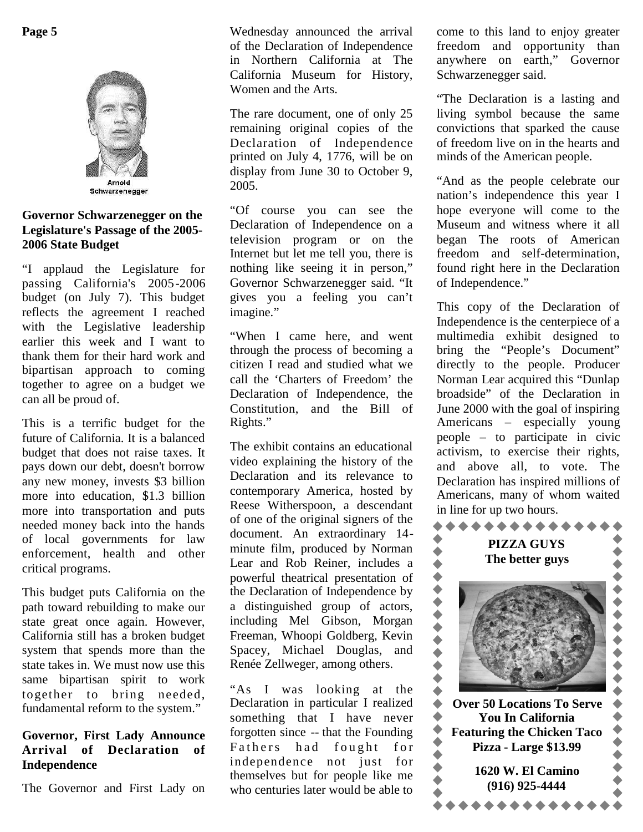

Schwarzenegger

#### **Governor Schwarzenegger on the Legislature's Passage of the 2005- 2006 State Budget**

"I applaud the Legislature for passing California's 2005-2006 budget (on July 7). This budget reflects the agreement I reached with the Legislative leadership earlier this week and I want to thank them for their hard work and bipartisan approach to coming together to agree on a budget we can all be proud of.

This is a terrific budget for the future of California. It is a balanced budget that does not raise taxes. It pays down our debt, doesn't borrow any new money, invests \$3 billion more into education, \$1.3 billion more into transportation and puts needed money back into the hands of local governments for law enforcement, health and other critical programs.

This budget puts California on the path toward rebuilding to make our state great once again. However, California still has a broken budget system that spends more than the state takes in. We must now use this same bipartisan spirit to work together to bring needed, fundamental reform to the system."

### **Governor, First Lady Announce Arrival of Declaration of Independence**

The Governor and First Lady on

Wednesday announced the arrival of the Declaration of Independence in Northern California at The California Museum for History, Women and the Arts.

The rare document, one of only 25 remaining original copies of the Declaration of Independence printed on July 4, 1776, will be on display from June 30 to October 9, 2005.

"Of course you can see the Declaration of Independence on a television program or on the Internet but let me tell you, there is nothing like seeing it in person," Governor Schwarzenegger said. "It gives you a feeling you can't imagine."

"When I came here, and went through the process of becoming a citizen I read and studied what we call the 'Charters of Freedom' the Declaration of Independence, the Constitution, and the Bill of Rights."

The exhibit contains an educational video explaining the history of the Declaration and its relevance to contemporary America, hosted by Reese Witherspoon, a descendant of one of the original signers of the document. An extraordinary 14 minute film, produced by Norman Lear and Rob Reiner, includes a<br>powerful theatrical presentation of<br>the Declaration of Independence by<br>a distinguished group of actors,<br>including Mel Gibson, Morgan<br>Freeman, Whoopi Goldberg, Kevin<br>Spacey, Michael Douglas, powerful theatrical presentation of the Declaration of Independence by a distinguished group of actors, including Mel Gibson, Morgan Freeman, Whoopi Goldberg, Kevin Spacey, Michael Douglas, and Renée Zellweger, among others.

"As I was looking at the Declaration in particular I realized something that I have never forgotten since -- that the Founding Fathers had fought for independence not just for themselves but for people like me who centuries later would be able to

come to this land to enjoy greater freedom and opportunity than anywhere on earth," Governor Schwarzenegger said.

"The Declaration is a lasting and living symbol because the same convictions that sparked the cause of freedom live on in the hearts and minds of the American people.

"And as the people celebrate our nation's independence this year I hope everyone will come to the Museum and witness where it all began The roots of American freedom and self-determination, found right here in the Declaration of Independence."

This copy of the Declaration of Independence is the centerpiece of a multimedia exhibit designed to bring the "People's Document" directly to the people. Producer Norman Lear acquired this "Dunlap broadside" of the Declaration in June 2000 with the goal of inspiring Americans – especially young people – to participate in civic activism, to exercise their rights, and above all, to vote. The Declaration has inspired millions of Americans, many of whom waited in line for up two hours.

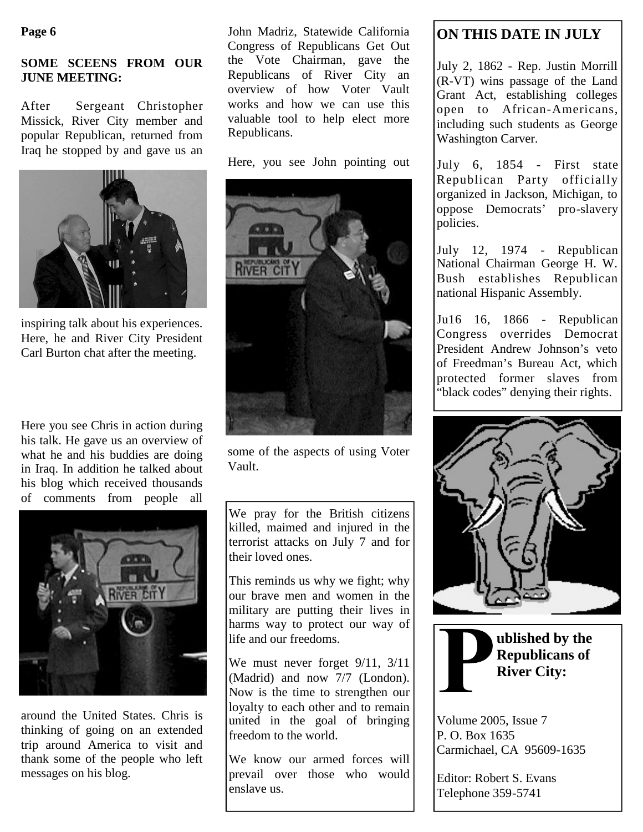#### **Page 6**

## **SOME SCEENS FROM OUR JUNE MEETING:**

After Sergeant Christopher Missick, River City member and popular Republican, returned from Iraq he stopped by and gave us an



inspiring talk about his experiences. Here, he and River City President Carl Burton chat after the meeting.

Here you see Chris in action during his talk. He gave us an overview of what he and his buddies are doing in Iraq. In addition he talked about his blog which received thousands of comments from people all



around the United States. Chris is thinking of going on an extended trip around America to visit and thank some of the people who left messages on his blog.

John Madriz, Statewide California Congress of Republicans Get Out the Vote Chairman, gave the Republicans of River City an overview of how Voter Vault works and how we can use this valuable tool to help elect more Republicans.

Here, you see John pointing out



some of the aspects of using Voter Vault.

We pray for the British citizens killed, maimed and injured in the terrorist attacks on July 7 and for their loved ones.

This reminds us why we fight; why our brave men and women in the military are putting their lives in harms way to protect our way of life and our freedoms.

We must never forget 9/11, 3/11 (Madrid) and now 7/7 (London). Now is the time to strengthen our loyalty to each other and to remain united in the goal of bringing freedom to the world.

We know our armed forces will prevail over those who would enslave us.

# **ON THIS DATE IN JULY**

July 2, 1862 - Rep. Justin Morrill (R-VT) wins passage of the Land Grant Act, establishing colleges open to African-Americans, including such students as George Washington Carver.

July 6, 1854 - First state Republican Party officially organized in Jackson, Michigan, to oppose Democrats' pro-slavery policies.

July 12, 1974 - Republican National Chairman George H. W. Bush establishes Republican national Hispanic Assembly.

Ju16 16, 1866 - Republican Congress overrides Democrat President Andrew Johnson's veto of Freedman's Bureau Act, which protected former slaves from "black codes" denying their rights.





**ublished by the Republicans of River City:**

Volume 2005, Issue 7 P. O. Box 1635 Carmichael, CA 95609-1635

Editor: Robert S. Evans Telephone 359-5741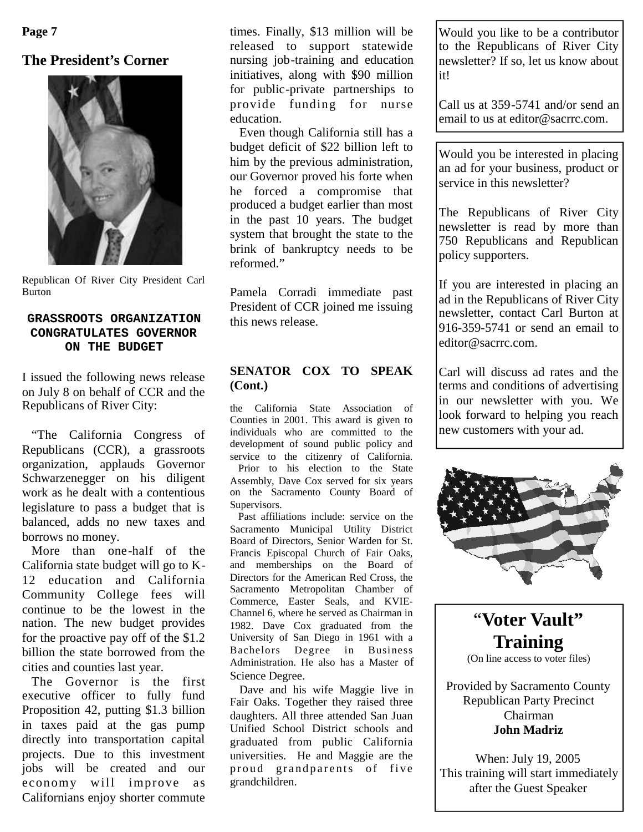**Page 7**

# **The President's Corner**



Republican Of River City President Carl Burton

#### **GRASSROOTS ORGANIZATION CONGRATULATES GOVERNOR ON THE BUDGET**

I issued the following news release on July 8 on behalf of CCR and the Republicans of River City:

"The California Congress of Republicans (CCR), a grassroots organization, applauds Governor Schwarzenegger on his diligent work as he dealt with a contentious legislature to pass a budget that is balanced, adds no new taxes and borrows no money.

More than one-half of the California state budget will go to K-12 education and California Community College fees will continue to be the lowest in the nation. The new budget provides for the proactive pay off of the \$1.2 billion the state borrowed from the cities and counties last year.

The Governor is the first executive officer to fully fund Proposition 42, putting \$1.3 billion in taxes paid at the gas pump directly into transportation capital projects. Due to this investment jobs will be created and our economy will improve as Californians enjoy shorter commute

times. Finally, \$13 million will be released to support statewide nursing job-training and education initiatives, along with \$90 million for public-private partnerships to provide funding for nurse education.

Even though California still has a budget deficit of \$22 billion left to him by the previous administration, our Governor proved his forte when he forced a compromise that produced a budget earlier than most in the past 10 years. The budget system that brought the state to the brink of bankruptcy needs to be reformed."

Pamela Corradi immediate past President of CCR joined me issuing this news release.

# **SENATOR COX TO SPEAK (Cont.)**

the California State Association of Counties in 2001. This award is given to individuals who are committed to the development of sound public policy and service to the citizenry of California. Prior to his election to the State Assembly, Dave Cox served for six years on the Sacramento County Board of Supervisors.

Past affiliations include: service on the Sacramento Municipal Utility District Board of Directors, Senior Warden for St. Francis Episcopal Church of Fair Oaks, and memberships on the Board of Directors for the American Red Cross, the Sacramento Metropolitan Chamber of Commerce, Easter Seals, and KVIE-Channel 6, where he served as Chairman in 1982. Dave Cox graduated from the University of San Diego in 1961 with a Bachelors Degree in Business Administration. He also has a Master of Science Degree.

Dave and his wife Maggie live in Fair Oaks. Together they raised three daughters. All three attended San Juan Unified School District schools and graduated from public California universities. He and Maggie are the proud grandparents of five grandchildren.

Would you like to be a contributor to the Republicans of River City newsletter? If so, let us know about it!

Call us at 359-5741 and/or send an email to us at editor@sacrrc.com.

Would you be interested in placing an ad for your business, product or service in this newsletter?

The Republicans of River City newsletter is read by more than 750 Republicans and Republican policy supporters.

If you are interested in placing an ad in the Republicans of River City newsletter, contact Carl Burton at 916-359-5741 or send an email to editor@sacrrc.com.

Carl will discuss ad rates and the terms and conditions of advertising in our newsletter with you. We look forward to helping you reach new customers with your ad.



"**Voter Vault" Training** (On line access to voter files)

Provided by Sacramento County Republican Party Precinct Chairman **John Madriz**

When: July 19, 2005 This training will start immediately after the Guest Speaker